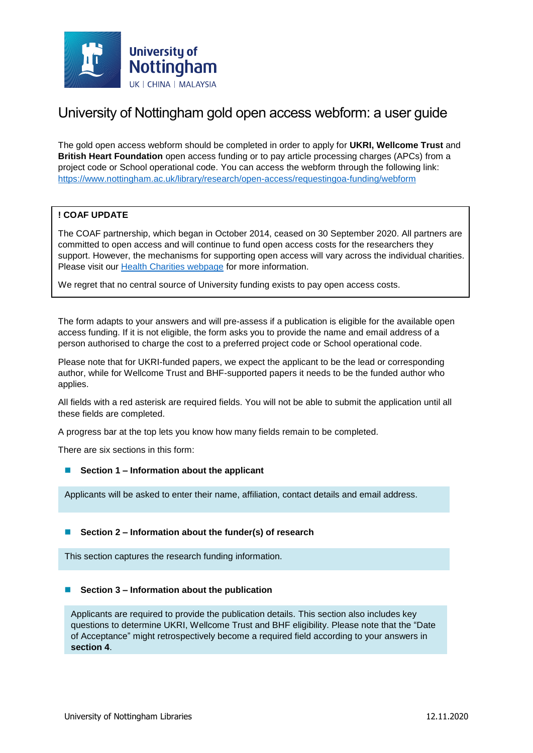

# University of Nottingham gold open access webform: a user guide

The gold open access webform should be completed in order to apply for **UKRI, Wellcome Trust** and **British Heart Foundation** open access funding or to pay article processing charges (APCs) from a project code or School operational code. You can access the webform through the following link: <https://www.nottingham.ac.uk/library/research/open-access/requestingoa-funding/webform>

## **! COAF UPDATE**

The COAF partnership, which began in October 2014, ceased on 30 September 2020. All partners are committed to open access and will continue to fund open access costs for the researchers they support. However, the mechanisms for supporting open access will vary across the individual charities. Please visit our [Health Charities webpage](https://www.nottingham.ac.uk/library/research/open-access/health-charities-and-open-access.aspx) for more information.

We regret that no central source of University funding exists to pay open access costs.

The form adapts to your answers and will pre-assess if a publication is eligible for the available open access funding. If it is not eligible, the form asks you to provide the name and email address of a person authorised to charge the cost to a preferred project code or School operational code.

Please note that for UKRI-funded papers, we expect the applicant to be the lead or corresponding author, while for Wellcome Trust and BHF-supported papers it needs to be the funded author who applies.

All fields with a red asterisk are required fields. You will not be able to submit the application until all these fields are completed.

A progress bar at the top lets you know how many fields remain to be completed.

There are six sections in this form:

■ **Section 1 – Information about the applicant** 

Applicants will be asked to enter their name, affiliation, contact details and email address.

### ■ Section 2 – Information about the funder(s) of research

This section captures the research funding information.

#### ■ Section 3 – Information about the publication

Applicants are required to provide the publication details. This section also includes key questions to determine UKRI, Wellcome Trust and BHF eligibility. Please note that the "Date of Acceptance" might retrospectively become a required field according to your answers in **section 4**.